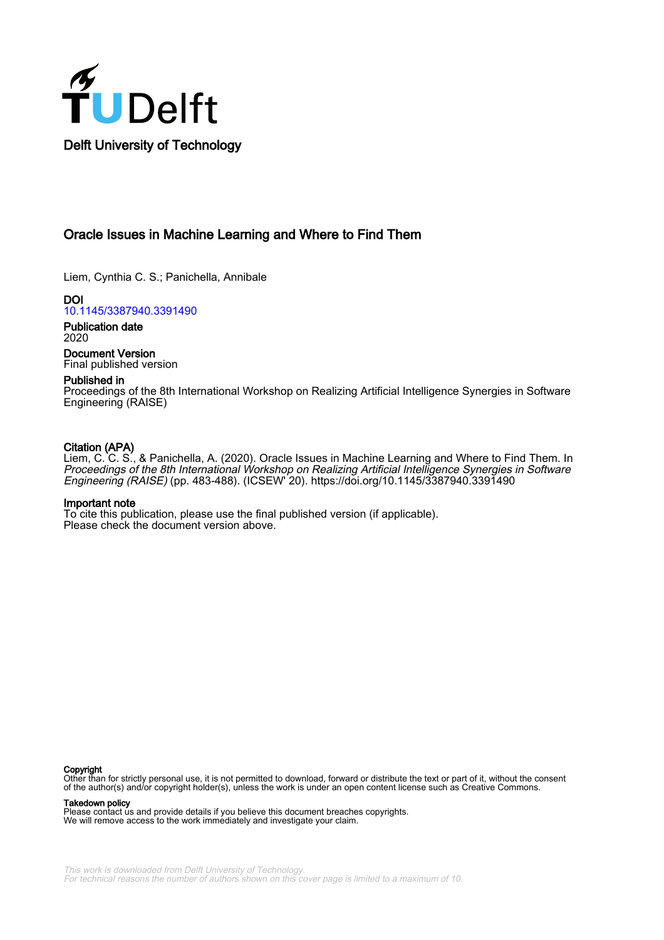

## Oracle Issues in Machine Learning and Where to Find Them

Liem, Cynthia C. S.; Panichella, Annibale

DOI [10.1145/3387940.3391490](https://doi.org/10.1145/3387940.3391490)

Publication date 2020

Document Version Final published version

## Published in

Proceedings of the 8th International Workshop on Realizing Artificial Intelligence Synergies in Software Engineering (RAISE)

## Citation (APA)

Liem, C. C. S., & Panichella, A. (2020). Oracle Issues in Machine Learning and Where to Find Them. In Proceedings of the 8th International Workshop on Realizing Artificial Intelligence Synergies in Software Engineering (RAISE) (pp. 483-488). (ICSEW' 20). <https://doi.org/10.1145/3387940.3391490>

## Important note

To cite this publication, please use the final published version (if applicable). Please check the document version above.

#### Copyright

Other than for strictly personal use, it is not permitted to download, forward or distribute the text or part of it, without the consent of the author(s) and/or copyright holder(s), unless the work is under an open content license such as Creative Commons.

Takedown policy

Please contact us and provide details if you believe this document breaches copyrights. We will remove access to the work immediately and investigate your claim.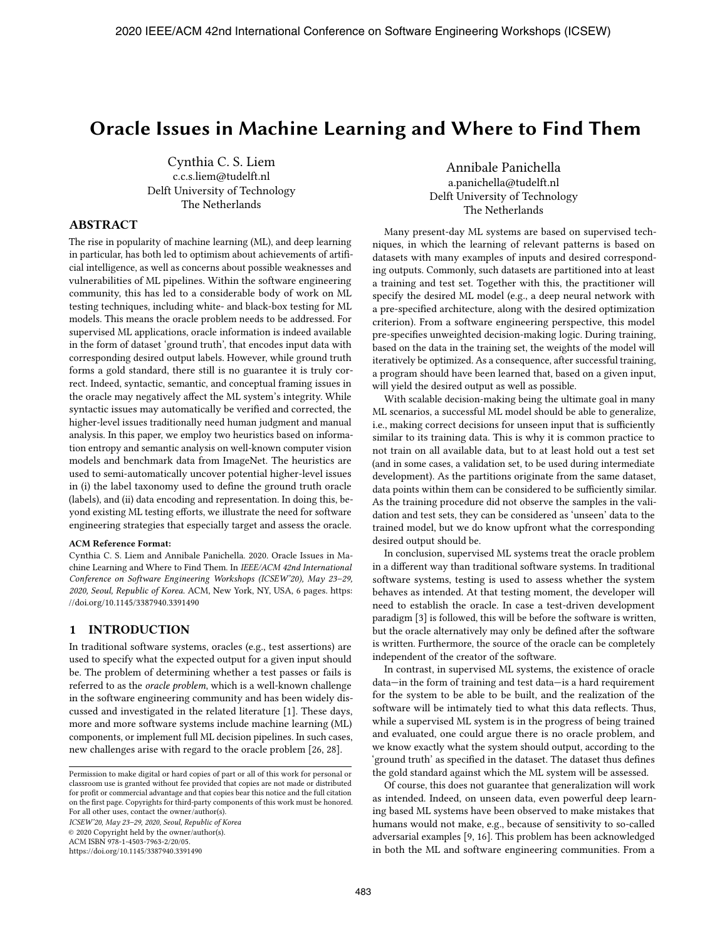# **Oracle Issues in Machine Learning and Where to Find Them**

Cynthia C. S. Liem c.c.s.liem@tudelft.nl Delft University of Technology The Netherlands

Annibale Panichella a.panichella@tudelft.nl Delft University of Technology The Netherlands

## **ABSTRACT**

The rise in popularity of machine learning (ML), and deep learning in particular, has both led to optimism about achievements of artificial intelligence, as well as concerns about possible weaknesses and vulnerabilities of ML pipelines. Within the software engineering community, this has led to a considerable body of work on ML testing techniques, including white- and black-box testing for ML models. This means the oracle problem needs to be addressed. For supervised ML applications, oracle information is indeed available in the form of dataset 'ground truth', that encodes input data with corresponding desired output labels. However, while ground truth forms a gold standard, there still is no guarantee it is truly correct. Indeed, syntactic, semantic, and conceptual framing issues in the oracle may negatively affect the ML system's integrity. While syntactic issues may automatically be verified and corrected, the higher-level issues traditionally need human judgment and manual analysis. In this paper, we employ two heuristics based on information entropy and semantic analysis on well-known computer vision models and benchmark data from ImageNet. The heuristics are used to semi-automatically uncover potential higher-level issues in (i) the label taxonomy used to define the ground truth oracle (labels), and (ii) data encoding and representation. In doing this, beyond existing ML testing efforts, we illustrate the need for software engineering strategies that especially target and assess the oracle.

#### **ACM Reference Format:**

Cynthia C. S. Liem and Annibale Panichella. 2020. Oracle Issues in Machine Learning and Where to Find Them. In *IEEE/ACM 42nd International Conference on Software Engineering Workshops (ICSEW'20), May 23–29, 2020, Seoul, Republic of Korea.* ACM, New York, NY, USA, 6 pages. https: //doi.org/10.1145/3387940.3391490

## **1 INTRODUCTION**

In traditional software systems, oracles (e.g., test assertions) are used to specify what the expected output for a given input should be. The problem of determining whether a test passes or fails is referred to as the *oracle problem*, which is a well-known challenge in the software engineering community and has been widely discussed and investigated in the related literature [1]. These days, more and more software systems include machine learning (ML) components, or implement full ML decision pipelines. In such cases, new challenges arise with regard to the oracle problem [26, 28].

*ICSEW'20, May 23–29, 2020, Seoul, Republic of Korea*

© 2020 Copyright held by the owner/author(s).

ACM ISBN 978-1-4503-7963-2/20/05.

https://doi.org/10.1145/3387940.3391490

Many present-day ML systems are based on supervised techniques, in which the learning of relevant patterns is based on datasets with many examples of inputs and desired corresponding outputs. Commonly, such datasets are partitioned into at least a training and test set. Together with this, the practitioner will specify the desired ML model (e.g., a deep neural network with a pre-specified architecture, along with the desired optimization criterion). From a software engineering perspective, this model pre-specifies unweighted decision-making logic. During training, based on the data in the training set, the weights of the model will iteratively be optimized. As a consequence, after successful training, a program should have been learned that, based on a given input, will yield the desired output as well as possible.

With scalable decision-making being the ultimate goal in many ML scenarios, a successful ML model should be able to generalize, i.e., making correct decisions for unseen input that is sufficiently similar to its training data. This is why it is common practice to not train on all available data, but to at least hold out a test set (and in some cases, a validation set, to be used during intermediate development). As the partitions originate from the same dataset, data points within them can be considered to be sufficiently similar. As the training procedure did not observe the samples in the validation and test sets, they can be considered as 'unseen' data to the trained model, but we do know upfront what the corresponding desired output should be.

In conclusion, supervised ML systems treat the oracle problem in a different way than traditional software systems. In traditional software systems, testing is used to assess whether the system behaves as intended. At that testing moment, the developer will need to establish the oracle. In case a test-driven development paradigm [3] is followed, this will be before the software is written, but the oracle alternatively may only be defined after the software is written. Furthermore, the source of the oracle can be completely independent of the creator of the software.

In contrast, in supervised ML systems, the existence of oracle data—in the form of training and test data—is a hard requirement for the system to be able to be built, and the realization of the software will be intimately tied to what this data reflects. Thus, while a supervised ML system is in the progress of being trained and evaluated, one could argue there is no oracle problem, and we know exactly what the system should output, according to the 'ground truth' as specified in the dataset. The dataset thus defines the gold standard against which the ML system will be assessed.

Of course, this does not guarantee that generalization will work as intended. Indeed, on unseen data, even powerful deep learning based ML systems have been observed to make mistakes that humans would not make, e.g., because of sensitivity to so-called adversarial examples [9, 16]. This problem has been acknowledged in both the ML and software engineering communities. From a

Permission to make digital or hard copies of part or all of this work for personal or classroom use is granted without fee provided that copies are not made or distributed for profit or commercial advantage and that copies bear this notice and the full citation on the first page. Copyrights for third-party components of this work must be honored. For all other uses, contact the owner/author(s).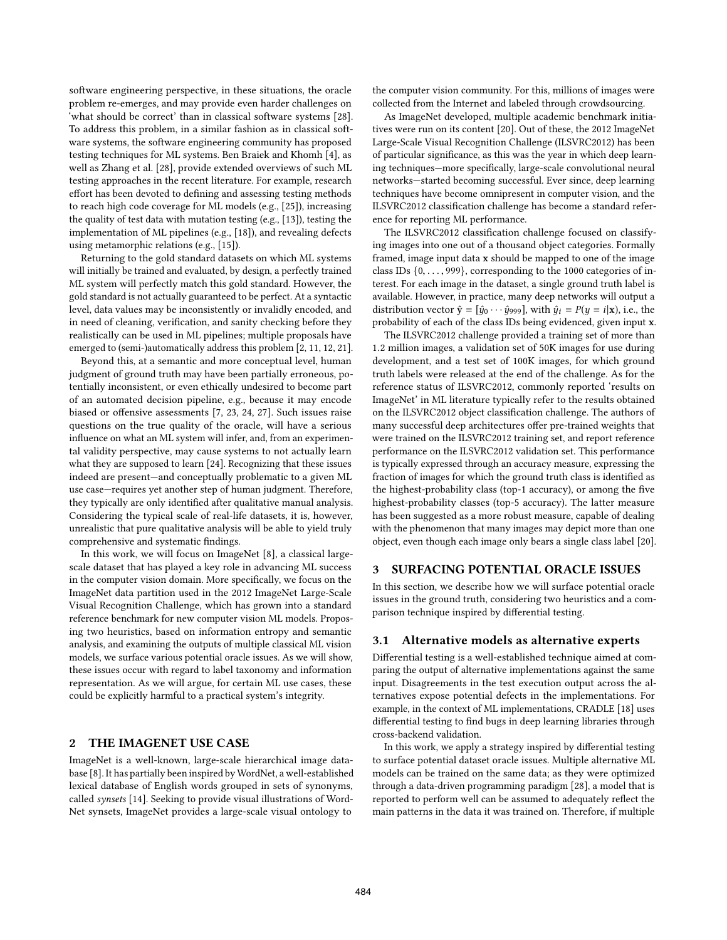software engineering perspective, in these situations, the oracle problem re-emerges, and may provide even harder challenges on 'what should be correct' than in classical software systems [28]. To address this problem, in a similar fashion as in classical software systems, the software engineering community has proposed testing techniques for ML systems. Ben Braiek and Khomh [4], as well as Zhang et al. [28], provide extended overviews of such ML testing approaches in the recent literature. For example, research effort has been devoted to defining and assessing testing methods to reach high code coverage for ML models (e.g., [25]), increasing the quality of test data with mutation testing (e.g., [13]), testing the implementation of ML pipelines (e.g., [18]), and revealing defects using metamorphic relations (e.g., [15]).

Returning to the gold standard datasets on which ML systems will initially be trained and evaluated, by design, a perfectly trained ML system will perfectly match this gold standard. However, the gold standard is not actually guaranteed to be perfect. At a syntactic level, data values may be inconsistently or invalidly encoded, and in need of cleaning, verification, and sanity checking before they realistically can be used in ML pipelines; multiple proposals have emerged to (semi-)automatically address this problem [2, 11, 12, 21].

Beyond this, at a semantic and more conceptual level, human judgment of ground truth may have been partially erroneous, potentially inconsistent, or even ethically undesired to become part of an automated decision pipeline, e.g., because it may encode biased or offensive assessments [7, 23, 24, 27]. Such issues raise questions on the true quality of the oracle, will have a serious influence on what an ML system will infer, and, from an experimental validity perspective, may cause systems to not actually learn what they are supposed to learn [24]. Recognizing that these issues indeed are present—and conceptually problematic to a given ML use case—requires yet another step of human judgment. Therefore, they typically are only identified after qualitative manual analysis. Considering the typical scale of real-life datasets, it is, however, unrealistic that pure qualitative analysis will be able to yield truly comprehensive and systematic findings.

In this work, we will focus on ImageNet [8], a classical largescale dataset that has played a key role in advancing ML success in the computer vision domain. More specifically, we focus on the ImageNet data partition used in the 2012 ImageNet Large-Scale Visual Recognition Challenge, which has grown into a standard reference benchmark for new computer vision ML models. Proposing two heuristics, based on information entropy and semantic analysis, and examining the outputs of multiple classical ML vision models, we surface various potential oracle issues. As we will show, these issues occur with regard to label taxonomy and information representation. As we will argue, for certain ML use cases, these could be explicitly harmful to a practical system's integrity.

## **2 THE IMAGENET USE CASE**

ImageNet is a well-known, large-scale hierarchical image database [8]. It has partially been inspired by WordNet, a well-established lexical database of English words grouped in sets of synonyms, called *synsets* [14]. Seeking to provide visual illustrations of Word-Net synsets, ImageNet provides a large-scale visual ontology to

the computer vision community. For this, millions of images were collected from the Internet and labeled through crowdsourcing.

As ImageNet developed, multiple academic benchmark initiatives were run on its content [20]. Out of these, the 2012 ImageNet Large-Scale Visual Recognition Challenge (ILSVRC2012) has been of particular significance, as this was the year in which deep learning techniques—more specifically, large-scale convolutional neural networks—started becoming successful. Ever since, deep learning techniques have become omnipresent in computer vision, and the ILSVRC2012 classification challenge has become a standard reference for reporting ML performance.

The ILSVRC2012 classification challenge focused on classifying images into one out of a thousand object categories. Formally framed, image input data **x** should be mapped to one of the image class IDs  $\{0, \ldots, 999\}$ , corresponding to the 1000 categories of interest. For each image in the dataset, a single ground truth label is available. However, in practice, many deep networks will output a distribution vector  $\hat{\mathbf{y}} = [\hat{y}_0 \cdots \hat{y}_{999}]$ , with  $\hat{y}_i = P(y = i|\mathbf{x})$ , i.e., the probability of each of the class IDs being evidenced, given input **x**.

The ILSVRC2012 challenge provided a training set of more than 1.2 million images, a validation set of 50K images for use during development, and a test set of 100K images, for which ground truth labels were released at the end of the challenge. As for the reference status of ILSVRC2012, commonly reported 'results on ImageNet' in ML literature typically refer to the results obtained on the ILSVRC2012 object classification challenge. The authors of many successful deep architectures offer pre-trained weights that were trained on the ILSVRC2012 training set, and report reference performance on the ILSVRC2012 validation set. This performance is typically expressed through an accuracy measure, expressing the fraction of images for which the ground truth class is identified as the highest-probability class (top-1 accuracy), or among the five highest-probability classes (top-5 accuracy). The latter measure has been suggested as a more robust measure, capable of dealing with the phenomenon that many images may depict more than one object, even though each image only bears a single class label [20].

#### **3 SURFACING POTENTIAL ORACLE ISSUES**

In this section, we describe how we will surface potential oracle issues in the ground truth, considering two heuristics and a comparison technique inspired by differential testing.

#### **3.1 Alternative models as alternative experts**

Differential testing is a well-established technique aimed at comparing the output of alternative implementations against the same input. Disagreements in the test execution output across the alternatives expose potential defects in the implementations. For example, in the context of ML implementations, CRADLE [18] uses differential testing to find bugs in deep learning libraries through cross-backend validation.

In this work, we apply a strategy inspired by differential testing to surface potential dataset oracle issues. Multiple alternative ML models can be trained on the same data; as they were optimized through a data-driven programming paradigm [28], a model that is reported to perform well can be assumed to adequately reflect the main patterns in the data it was trained on. Therefore, if multiple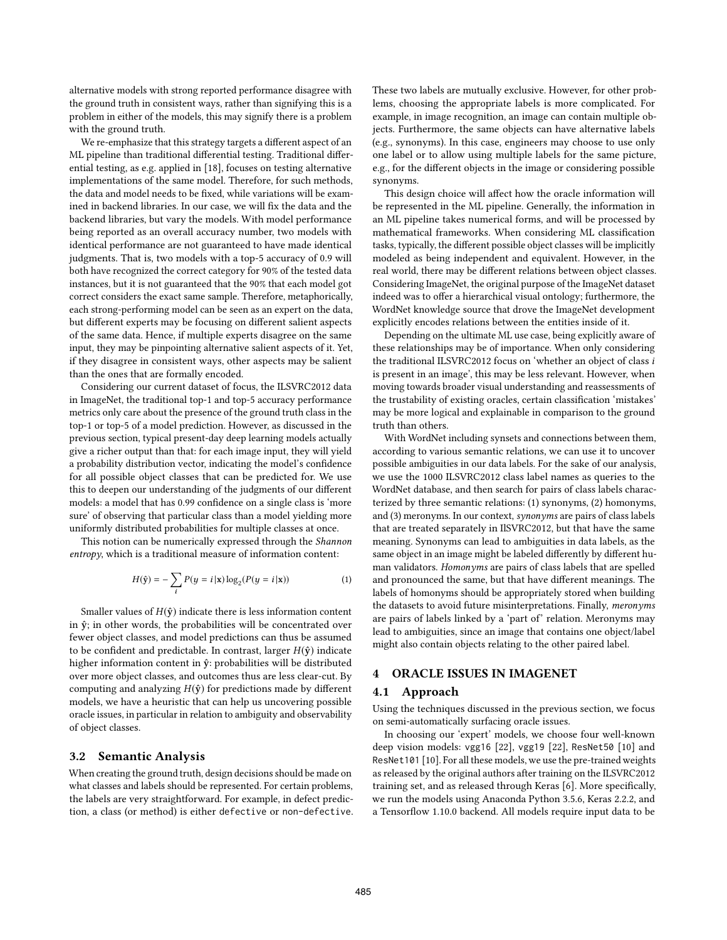alternative models with strong reported performance disagree with the ground truth in consistent ways, rather than signifying this is a problem in either of the models, this may signify there is a problem with the ground truth.

We re-emphasize that this strategy targets a different aspect of an ML pipeline than traditional differential testing. Traditional differential testing, as e.g. applied in [18], focuses on testing alternative implementations of the same model. Therefore, for such methods, the data and model needs to be fixed, while variations will be examined in backend libraries. In our case, we will fix the data and the backend libraries, but vary the models. With model performance being reported as an overall accuracy number, two models with identical performance are not guaranteed to have made identical judgments. That is, two models with a top-5 accuracy of 0.9 will both have recognized the correct category for 90% of the tested data instances, but it is not guaranteed that the 90% that each model got correct considers the exact same sample. Therefore, metaphorically, each strong-performing model can be seen as an expert on the data, but different experts may be focusing on different salient aspects of the same data. Hence, if multiple experts disagree on the same input, they may be pinpointing alternative salient aspects of it. Yet, if they disagree in consistent ways, other aspects may be salient than the ones that are formally encoded.

Considering our current dataset of focus, the ILSVRC2012 data in ImageNet, the traditional top-1 and top-5 accuracy performance metrics only care about the presence of the ground truth class in the top-1 or top-5 of a model prediction. However, as discussed in the previous section, typical present-day deep learning models actually give a richer output than that: for each image input, they will yield a probability distribution vector, indicating the model's confidence for all possible object classes that can be predicted for. We use this to deepen our understanding of the judgments of our different models: a model that has 0.99 confidence on a single class is 'more sure' of observing that particular class than a model yielding more uniformly distributed probabilities for multiple classes at once.

This notion can be numerically expressed through the *Shannon entropy*, which is a traditional measure of information content:

$$
H(\hat{y}) = -\sum_{i} P(y = i | \mathbf{x}) \log_2(P(y = i | \mathbf{x}))
$$
 (1)

Smaller values of  $H(\hat{y})$  indicate there is less information content in  $\hat{y}$ ; in other words, the probabilities will be concentrated over fewer object classes, and model predictions can thus be assumed to be confident and predictable. In contrast, larger  $H(\hat{y})$  indicate higher information content in  $\hat{y}$ : probabilities will be distributed over more object classes, and outcomes thus are less clear-cut. By computing and analyzing H(**yˆ**) for predictions made by different models, we have a heuristic that can help us uncovering possible oracle issues, in particular in relation to ambiguity and observability of object classes.

## **3.2 Semantic Analysis**

When creating the ground truth, design decisions should be made on what classes and labels should be represented. For certain problems, the labels are very straightforward. For example, in defect prediction, a class (or method) is either defective or non-defective. These two labels are mutually exclusive. However, for other problems, choosing the appropriate labels is more complicated. For example, in image recognition, an image can contain multiple objects. Furthermore, the same objects can have alternative labels (e.g., synonyms). In this case, engineers may choose to use only one label or to allow using multiple labels for the same picture, e.g., for the different objects in the image or considering possible synonyms.

This design choice will affect how the oracle information will be represented in the ML pipeline. Generally, the information in an ML pipeline takes numerical forms, and will be processed by mathematical frameworks. When considering ML classification tasks, typically, the different possible object classes will be implicitly modeled as being independent and equivalent. However, in the real world, there may be different relations between object classes. Considering ImageNet, the original purpose of the ImageNet dataset indeed was to offer a hierarchical visual ontology; furthermore, the WordNet knowledge source that drove the ImageNet development explicitly encodes relations between the entities inside of it.

Depending on the ultimate ML use case, being explicitly aware of these relationships may be of importance. When only considering the traditional ILSVRC2012 focus on 'whether an object of class i is present in an image', this may be less relevant. However, when moving towards broader visual understanding and reassessments of the trustability of existing oracles, certain classification 'mistakes' may be more logical and explainable in comparison to the ground truth than others.

With WordNet including synsets and connections between them, according to various semantic relations, we can use it to uncover possible ambiguities in our data labels. For the sake of our analysis, we use the 1000 ILSVRC2012 class label names as queries to the WordNet database, and then search for pairs of class labels characterized by three semantic relations: (1) synonyms, (2) homonyms, and (3) meronyms. In our context, *synonyms* are pairs of class labels that are treated separately in IlSVRC2012, but that have the same meaning. Synonyms can lead to ambiguities in data labels, as the same object in an image might be labeled differently by different human validators. *Homonyms* are pairs of class labels that are spelled and pronounced the same, but that have different meanings. The labels of homonyms should be appropriately stored when building the datasets to avoid future misinterpretations. Finally, *meronyms* are pairs of labels linked by a 'part of' relation. Meronyms may lead to ambiguities, since an image that contains one object/label might also contain objects relating to the other paired label.

## **4 ORACLE ISSUES IN IMAGENET**

#### **4.1 Approach**

Using the techniques discussed in the previous section, we focus on semi-automatically surfacing oracle issues.

In choosing our 'expert' models, we choose four well-known deep vision models: vgg16 [22], vgg19 [22], ResNet50 [10] and ResNet101 [10]. For all these models, we use the pre-trained weights as released by the original authors after training on the ILSVRC2012 training set, and as released through Keras [6]. More specifically, we run the models using Anaconda Python 3.5.6, Keras 2.2.2, and a Tensorflow 1.10.0 backend. All models require input data to be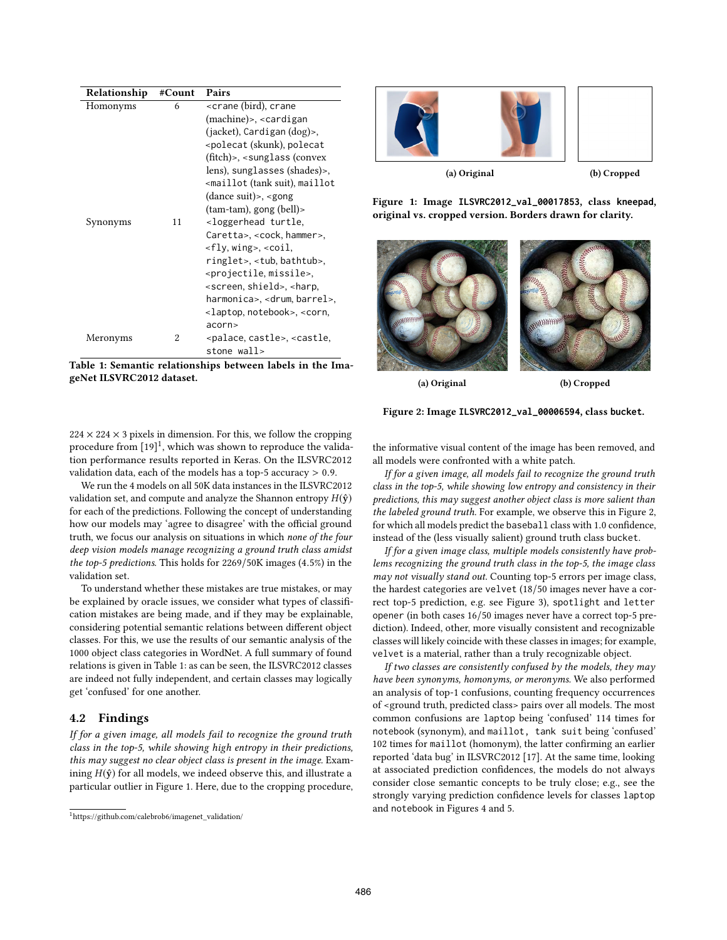| Relationship | #Count | Pairs                                                      |
|--------------|--------|------------------------------------------------------------|
| Homonyms     | 6      | <crane (bird),="" crane<="" td=""></crane>                 |
|              |        | $(machine)$ , $\lt$ cardigan                               |
|              |        | $(jacket)$ , Cardigan $(dog)$ ,                            |
|              |        | <polecat (skunk),="" polecat<="" td=""></polecat>          |
|              |        | $(fitch)$ , $\leq$ sunglass (convex                        |
|              |        | lens), sunglasses (shades)>,                               |
|              |        | <maillot(tank maillot<="" suit),="" td=""></maillot(tank>  |
|              |        | $(dance suit)$ , <gong< td=""></gong<>                     |
|              |        | $(tam-tam)$ , gong $(bell)$                                |
| Synonyms     | 11     | <loggerhead td="" turtle,<=""></loggerhead>                |
|              |        | Caretta>, <cock, hammer="">,</cock,>                       |
|              |        | $<$ fly, wing>, $<$ coil,                                  |
|              |        | ringlet>, <tub, bathtub="">,</tub,>                        |
|              |        | <projectile, missile="">,</projectile,>                    |
|              |        | <screen, shield="">, <harp,< td=""></harp,<></screen,>     |
|              |        | harmonica>, <drum,barrel>,</drum,barrel>                   |
|              |        | <laptop, notebook="">, <corn,< td=""></corn,<></laptop,>   |
|              |        | acorn                                                      |
| Meronyms     | 2      | <palace, castle="">, <castle,< td=""></castle,<></palace,> |
|              |        | stone wall>                                                |

**Table 1: Semantic relationships between labels in the ImageNet ILSVRC2012 dataset.**



**Figure 1: Image ILSVRC2012\_val\_00017853, class kneepad, original vs. cropped version. Borders drawn for clarity.**

**(a) Original (b) Cropped**

 $224 \times 224 \times 3$  pixels in dimension. For this, we follow the cropping procedure from [19]<sup>1</sup>, which was shown to reproduce the validation performance results reported in Keras. On the ILSVRC2012 validation data, each of the models has a top-5 accuracy > 0.9.

We run the 4 models on all 50K data instances in the ILSVRC2012 validation set, and compute and analyze the Shannon entropy  $H(\hat{y})$ for each of the predictions. Following the concept of understanding how our models may 'agree to disagree' with the official ground truth, we focus our analysis on situations in which *none of the four deep vision models manage recognizing a ground truth class amidst the top-5 predictions*. This holds for 2269/50K images (4.5%) in the validation set.

To understand whether these mistakes are true mistakes, or may be explained by oracle issues, we consider what types of classification mistakes are being made, and if they may be explainable, considering potential semantic relations between different object classes. For this, we use the results of our semantic analysis of the 1000 object class categories in WordNet. A full summary of found relations is given in Table 1: as can be seen, the ILSVRC2012 classes are indeed not fully independent, and certain classes may logically get 'confused' for one another.

## **4.2 Findings**

*If for a given image, all models fail to recognize the ground truth class in the top-5, while showing high entropy in their predictions, this may suggest no clear object class is present in the image.* Examining  $H(\hat{y})$  for all models, we indeed observe this, and illustrate a particular outlier in Figure 1. Here, due to the cropping procedure, the informative visual content of the image has been removed, and all models were confronted with a white patch.

**Figure 2: Image ILSVRC2012\_val\_00006594, class bucket.**

*If for a given image, all models fail to recognize the ground truth class in the top-5, while showing low entropy and consistency in their predictions, this may suggest another object class is more salient than the labeled ground truth.* For example, we observe this in Figure 2, for which all models predict the baseball class with 1.0 confidence, instead of the (less visually salient) ground truth class bucket.

*If for a given image class, multiple models consistently have problems recognizing the ground truth class in the top-5, the image class may not visually stand out.* Counting top-5 errors per image class, the hardest categories are velvet (18/50 images never have a correct top-5 prediction, e.g. see Figure 3), spotlight and letter opener (in both cases 16/50 images never have a correct top-5 prediction). Indeed, other, more visually consistent and recognizable classes will likely coincide with these classes in images; for example, velvet is a material, rather than a truly recognizable object.

*If two classes are consistently confused by the models, they may have been synonyms, homonyms, or meronyms.* We also performed an analysis of top-1 confusions, counting frequency occurrences of <ground truth, predicted class> pairs over all models. The most common confusions are laptop being 'confused' 114 times for notebook (synonym), and maillot, tank suit being 'confused' 102 times for maillot (homonym), the latter confirming an earlier reported 'data bug' in ILSVRC2012 [17]. At the same time, looking at associated prediction confidences, the models do not always consider close semantic concepts to be truly close; e.g., see the strongly varying prediction confidence levels for classes laptop and notebook in Figures 4 and 5.

 $1$ https://github.com/calebrob6/imagenet\_validation/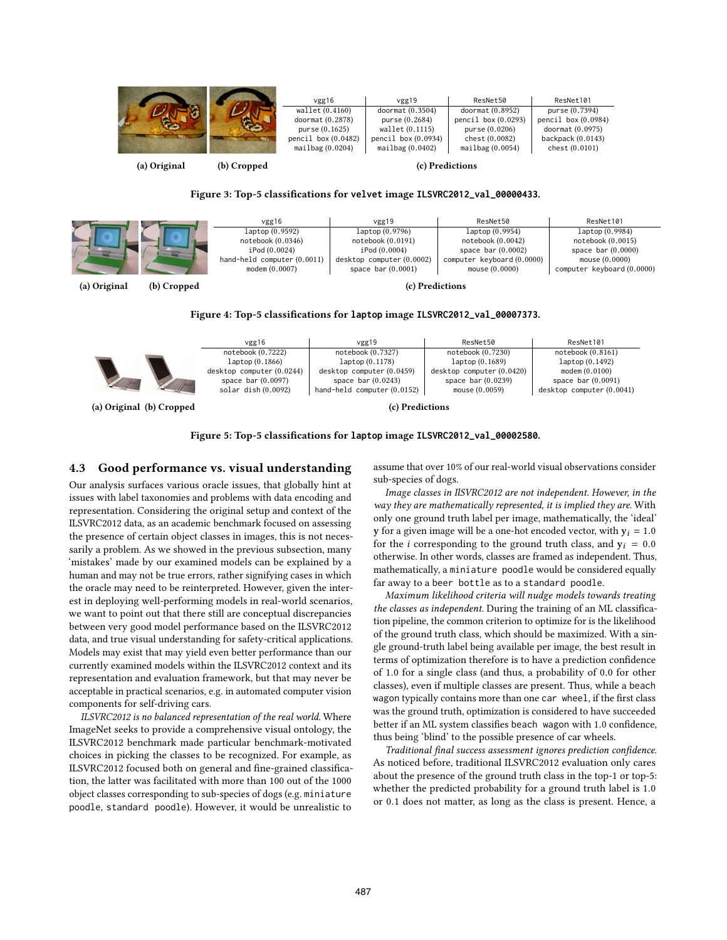|  | vgg16               | vgg19                 | ResNet50              | ResNet101             |
|--|---------------------|-----------------------|-----------------------|-----------------------|
|  | wallet (0.4160)     | doormat $(0.3504)$    | doormat $(0.8952)$    | purse (0.7394)        |
|  | doormat (0.2878)    | purse (0.2684)        | pencil box $(0.0293)$ | pencil box $(0.0984)$ |
|  | purse $(0.1625)$    | wallet (0.1115)       | pure (0.0206)         | doormat (0.0975)      |
|  | pencil box (0.0482) | pencil box $(0.0934)$ | chest (0.0082)        | backpack $(0.0143)$   |
|  | mailbag(0.0204)     | mailbag(0.0402)       | mailbag(0.0054)       | check (0.0101)        |
|  |                     |                       |                       |                       |

**(a) Original (b) Cropped**

**(c) Predictions**

**Figure 3: Top-5 classifications for velvet image ILSVRC2012\_val\_00000433.**

|              | vgg16                       | vgg19                   | ResNet50                   | ResNet101                  |  |  |  |
|--------------|-----------------------------|-------------------------|----------------------------|----------------------------|--|--|--|
|              | laptop (0.9592)             | laptop (0.9796)         | laptop (0.9954)            | laptop (0.9984)            |  |  |  |
|              | notebook (0.0346)           | notebook (0.0191)       | notebook(0.0042)           | notebook (0.0015)          |  |  |  |
|              | iPod (0.0024)               | iPod (0.0004)           | space bar $(0.0002)$       | space bar $(0.0000)$       |  |  |  |
|              | hand-held computer (0.0011) | destop computer(0.0002) | computer keyboard (0.0000) | mouse $(0.0000)$           |  |  |  |
|              | modem(0.0007)               | space bar $(0.0001)$    | mouse(0.0000)              | computer keyboard (0.0000) |  |  |  |
| (a) Original | (b) Cropped                 | (c) Predictions         |                            |                            |  |  |  |

**Figure 4: Top-5 classifications for laptop image ILSVRC2012\_val\_00007373.**



**(a) Original (b) Cropped**

**(c) Predictions**

**Figure 5: Top-5 classifications for laptop image ILSVRC2012\_val\_00002580.**

#### **4.3 Good performance vs. visual understanding**

Our analysis surfaces various oracle issues, that globally hint at issues with label taxonomies and problems with data encoding and representation. Considering the original setup and context of the ILSVRC2012 data, as an academic benchmark focused on assessing the presence of certain object classes in images, this is not necessarily a problem. As we showed in the previous subsection, many 'mistakes' made by our examined models can be explained by a human and may not be true errors, rather signifying cases in which the oracle may need to be reinterpreted. However, given the interest in deploying well-performing models in real-world scenarios, we want to point out that there still are conceptual discrepancies between very good model performance based on the ILSVRC2012 data, and true visual understanding for safety-critical applications. Models may exist that may yield even better performance than our currently examined models within the ILSVRC2012 context and its representation and evaluation framework, but that may never be acceptable in practical scenarios, e.g. in automated computer vision components for self-driving cars.

*ILSVRC2012 is no balanced representation of the real world.* Where ImageNet seeks to provide a comprehensive visual ontology, the ILSVRC2012 benchmark made particular benchmark-motivated choices in picking the classes to be recognized. For example, as ILSVRC2012 focused both on general and fine-grained classification, the latter was facilitated with more than 100 out of the 1000 object classes corresponding to sub-species of dogs (e.g. miniature poodle, standard poodle). However, it would be unrealistic to

assume that over 10% of our real-world visual observations consider sub-species of dogs.

*Image classes in IlSVRC2012 are not independent. However, in the way they are mathematically represented, it is implied they are.* With only one ground truth label per image, mathematically, the 'ideal' **y** for a given image will be a one-hot encoded vector, with  $y_i = 1.0$ for the *i* corresponding to the ground truth class, and  $y_i = 0.0$ otherwise. In other words, classes are framed as independent. Thus, mathematically, a miniature poodle would be considered equally far away to a beer bottle as to a standard poodle.

*Maximum likelihood criteria will nudge models towards treating the classes as independent.* During the training of an ML classification pipeline, the common criterion to optimize for is the likelihood of the ground truth class, which should be maximized. With a single ground-truth label being available per image, the best result in terms of optimization therefore is to have a prediction confidence of 1.0 for a single class (and thus, a probability of 0.0 for other classes), even if multiple classes are present. Thus, while a beach wagon typically contains more than one car wheel, if the first class was the ground truth, optimization is considered to have succeeded better if an ML system classifies beach wagon with 1.0 confidence, thus being 'blind' to the possible presence of car wheels.

*Traditional final success assessment ignores prediction confidence.* As noticed before, traditional ILSVRC2012 evaluation only cares about the presence of the ground truth class in the top-1 or top-5: whether the predicted probability for a ground truth label is 1.0 or 0.1 does not matter, as long as the class is present. Hence, a